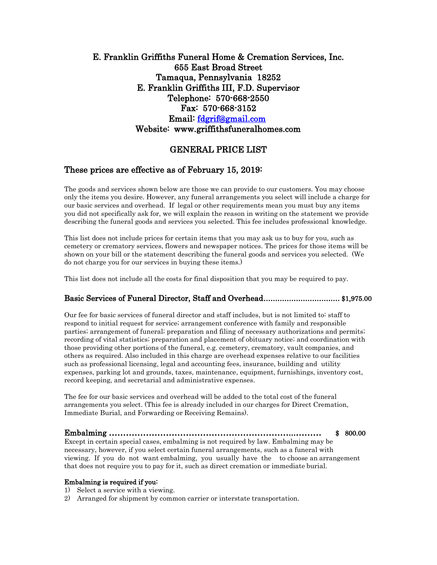# E. Franklin Griffiths Funeral Home & Cremation Services, Inc. 655 East Broad Street Tamaqua, Pennsylvania 18252 E. Franklin Griffiths III, F.D. Supervisor Telephone: 570-668-2550 Fax: 570-668-3152 Email: [fdgrif@gmail.com](mailto:fdgrif@gmail.com)  Website: [www.griffithsfuneralhomes.com](http://www.griffithsfuneralhomes.com/)

# GENERAL PRICE LIST

# These prices are effective as of February 15, 2019:

The goods and services shown below are those we can provide to our customers. You may choose only the items you desire. However, any funeral arrangements you select will include a charge for our basic services and overhead. If legal or other requirements mean you must buy any items you did not specifically ask for, we will explain the reason in writing on the statement we provide describing the funeral goods and services you selected. This fee includes professional knowledge.

This list does not include prices for certain items that you may ask us to buy for you, such as cemetery or crematory services, flowers and newspaper notices. The prices for those items will be shown on your bill or the statement describing the funeral goods and services you selected. (We do not charge you for our services in buying these items.)

This list does not include all the costs for final disposition that you may be required to pay.

## Basic Services of Funeral Director, Staff and Overhead ................................. \$1,975.00

Our fee for basic services of funeral director and staff includes, but is not limited to: staff to respond to initial request for service; arrangement conference with family and responsible parties; arrangement of funeral; preparation and filing of necessary authorizations and permits; recording of vital statistics; preparation and placement of obituary notice; and coordination with those providing other portions of the funeral, e.g. cemetery, crematory, vault companies, and others as required. Also included in this charge are overhead expenses relative to our facilities such as professional licensing, legal and accounting fees, insurance, building and utility expenses, parking lot and grounds, taxes, maintenance, equipment, furnishings, inventory cost, record keeping, and secretarial and administrative expenses.

The fee for our basic services and overhead will be added to the total cost of the funeral arrangements you select. (This fee is already included in our charges for Direct Cremation, Immediate Burial, and Forwarding or Receiving Remains).

Embalming ………………………………………………………...……… \$ 800.00 Except in certain special cases, embalming is not required by law. Embalming may be necessary, however, if you select certain funeral arrangements, such as a funeral with viewing. If you do not want embalming, you usually have the to choose an arrangement that does not require you to pay for it, such as direct cremation or immediate burial.

#### Embalming is required if you:

- 1) Select a service with a viewing.
- 2) Arranged for shipment by common carrier or interstate transportation.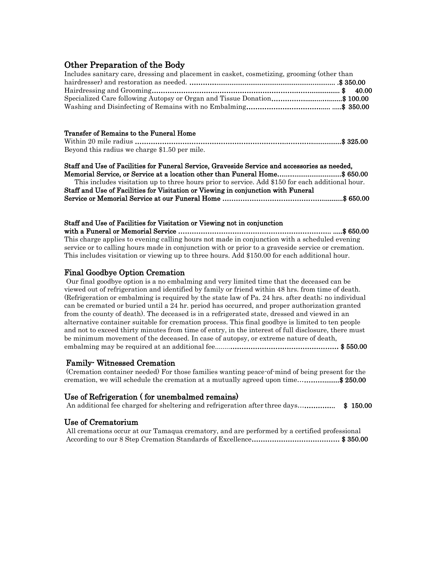# Other Preparation of the Body

| Includes sanitary care, dressing and placement in casket, cosmetizing, grooming (other than |  |
|---------------------------------------------------------------------------------------------|--|
|                                                                                             |  |
|                                                                                             |  |
| Specialized Care following Autopsy or Organ and Tissue Donation\$ 100.00                    |  |
|                                                                                             |  |

#### Transfer of Remains to the Funeral Home

| Beyond this radius we charge \$1.50 per mile. |  |
|-----------------------------------------------|--|

#### Staff and Use of Facilities for Funeral Service, Graveside Service and accessories as needed,

Memorial Service, or Service at a location other than Funeral Home…..….........................\$ 650.00 This includes visitation up to three hours prior to service. Add \$150 for each additional hour. Staff and Use of Facilities for Visitation or Viewing in conjunction with Funeral Service or Memorial Service at our Funeral Home ………………………………………..........\$ 650.00

#### Staff and Use of Facilities for Visitation or Viewing not in conjunction

with a Funeral or Memorial Service ………………………………………………………….. .....\$ 650.00 This charge applies to evening calling hours not made in conjunction with a scheduled evening service or to calling hours made in conjunction with or prior to a graveside service or cremation. This includes visitation or viewing up to three hours. Add \$150.00 for each additional hour.

# Final Goodbye Option Cremation

Our final goodbye option is a no embalming and very limited time that the deceased can be viewed out of refrigeration and identified by family or friend within 48 hrs. from time of death. (Refrigeration or embalming is required by the state law of Pa. 24 hrs. after death; no individual can be cremated or buried until a 24 hr. period has occurred, and proper authorization granted from the county of death). The deceased is in a refrigerated state, dressed and viewed in an alternative container suitable for cremation process. This final goodbye is limited to ten people and not to exceed thirty minutes from time of entry, in the interest of full disclosure, there must be minimum movement of the deceased. In case of autopsy, or extreme nature of death, embalming may be required at an additional fee........………………………………………… \$ 550.00

# Family- Witnessed Cremation

(Cremation container needed) For those families wanting peace-of-mind of being present for the cremation, we will schedule the cremation at a mutually agreed upon time...................\$ 250.00

## Use of Refrigeration ( for unembalmed remains)

An additional fee charged for sheltering and refrigeration after three days…………….. \$ 150.00

## Use of Crematorium

All cremations occur at our Tamaqua crematory, and are performed by a certified professional According to our 8 Step Cremation Standards of Excellence………………………………… \$ 350.00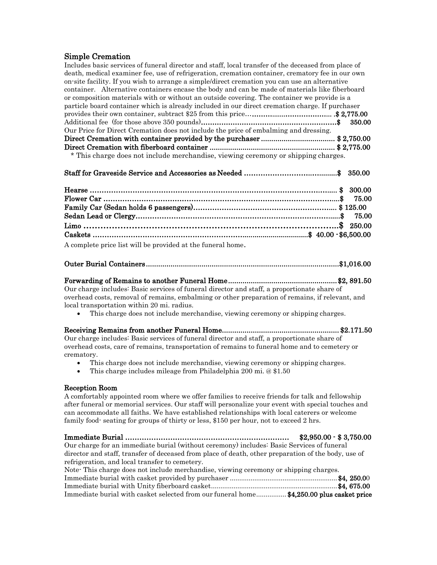# Simple Cremation

Includes basic services of funeral director and staff, local transfer of the deceased from place of death, medical examiner fee, use of refrigeration, cremation container, crematory fee in our own on-site facility. If you wish to arrange a simple/direct cremation you can use an alternative container. Alternative containers encase the body and can be made of materials like fiberboard or composition materials with or without an outside covering. The container we provide is a particle board container which is already included in our direct cremation charge. If purchaser provides their own container, subtract \$25 from this price………….......………………... .\$ 2,775.00 Additional fee (for those above 350 pounds)…………………………………………………………………………\$ 350.00 Our Price for Direct Cremation does not include the price of embalming and dressing. Direct Cremation with container provided by the purchaser .................................... \$ 2,750.00 Direct Cremation with fiberboard container ............................................................. \$ 2,775.00 \* This charge does not include merchandise, viewing ceremony or shipping charges.

## Staff for Graveside Service and Accessories as Needed ………………………..….........\$ 350.00

| A complete price list will be provided at the funeral home. |  |
|-------------------------------------------------------------|--|

#### Outer Burial Containers ..............................................................................................\$1,016.00

# Forwarding of Remains to another Funeral Home ..................................................... \$2, 891.50

Our charge includes: Basic services of funeral director and staff, a proportionate share of overhead costs, removal of remains, embalming or other preparation of remains, if relevant, and local transportation within 20 mi. radius.

This charge does not include merchandise, viewing ceremony or shipping charges.

Receiving Remains from another Funeral Home......................................................... \$2.171.50 Our charge includes: Basic services of funeral director and staff, a proportionate share of overhead costs, care of remains, transportation of remains to funeral home and to cemetery or crematory.

- This charge does not include merchandise, viewing ceremony or shipping charges.
- This charge includes mileage from Philadelphia 200 mi. @ \$1.50

#### Reception Room

A comfortably appointed room where we offer families to receive friends for talk and fellowship after funeral or memorial services. Our staff will personalize your event with special touches and can accommodate all faiths. We have established relationships with local caterers or welcome family food- seating for groups of thirty or less, \$150 per hour, not to exceed 2 hrs.

Immediate Burial …………………………………………………………… \$2,950.00 - \$ 3,750.00 Our charge for an immediate burial (without ceremony) includes: Basic Services of funeral director and staff, transfer of deceased from place of death, other preparation of the body, use of refrigeration, and local transfer to cemetery. Note- This charge does not include merchandise, viewing ceremony or shipping charges. Immediate burial with casket provided by purchaser .........................................................\$4, 250.00

Immediate burial with Unity fiberboard casket...................................................................\$4, 675.00 Immediate burial with casket selected from our funeral home................ \$4,250.00 plus casket price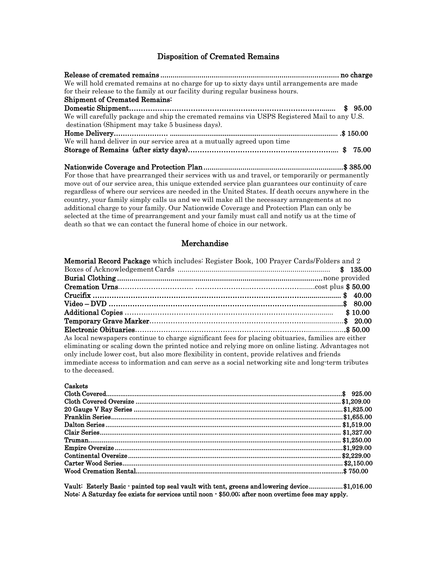# Disposition of Cremated Remains

| We will hold cremated remains at no charge for up to sixty days until arrangements are made                              |  |
|--------------------------------------------------------------------------------------------------------------------------|--|
| for their release to the family at our facility during regular business hours.                                           |  |
| <b>Shipment of Cremated Remains:</b>                                                                                     |  |
|                                                                                                                          |  |
| We will carefully package and ship the cremated remains via USPS Registered Mail to any U.S.                             |  |
| destination (Shipment may take 5 business days).                                                                         |  |
| 150.00 \$ 150.00 \$ 150.00 } # 150.00 \$ 150.00 } # 150.00 \$ 150.00 \$ 150.00 } \$ 150.00 \$ 150.00 \$ 150.00 \$ 150.00 |  |
| We will hand deliver in our service area at a mutually agreed upon time                                                  |  |
|                                                                                                                          |  |

Nationwide Coverage and Protection Plan .................................................................... \$ 385.00 For those that have prearranged their services with us and travel, or temporarily or permanently move out of our service area, this unique extended service plan guarantees our continuity of care regardless of where our services are needed in the United States. If death occurs anywhere in the country, your family simply calls us and we will make all the necessary arrangements at no additional charge to your family. Our Nationwide Coverage and Protection Plan can only be selected at the time of prearrangement and your family must call and notify us at the time of death so that we can contact the funeral home of choice in our network.

#### Merchandise

| <b>Memorial Record Package</b> which includes: Register Book, 100 Prayer Cards/Folders and 2        |
|-----------------------------------------------------------------------------------------------------|
|                                                                                                     |
|                                                                                                     |
|                                                                                                     |
|                                                                                                     |
|                                                                                                     |
| \$10.00                                                                                             |
|                                                                                                     |
|                                                                                                     |
| As local newspapers continue to charge significant fees for placing obituaries, families are either |
| eliminating or scaling down the printed notice and relying more on online listing. Advantages not   |
| only include lower cost, but also more flexibility in content, provide relatives and friends        |
| immediate access to information and can serve as a social networking site and long-term tributes    |
| to the deceased.                                                                                    |
|                                                                                                     |

#### Caskets

Vault: Esterly Basic - painted top seal vault with tent, greens and lowering device .................. \$1,016.00 Note: A Saturday fee exists for services until noon - \$50.00; after noon overtime fees may apply.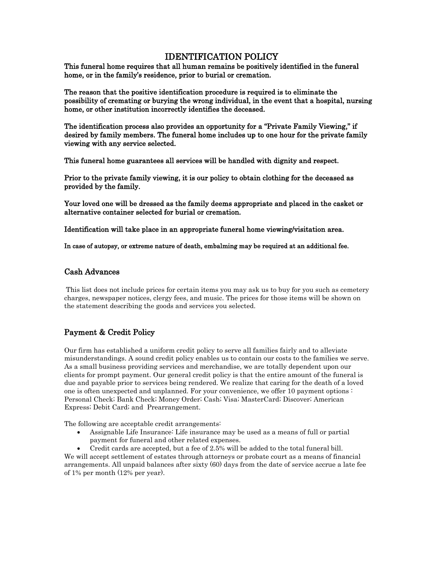# IDENTIFICATION POLICY

This funeral home requires that all human remains be positively identified in the funeral home, or in the family's residence, prior to burial or cremation.

The reason that the positive identification procedure is required is to eliminate the possibility of cremating or burying the wrong individual, in the event that a hospital, nursing home, or other institution incorrectly identifies the deceased.

The identification process also provides an opportunity for a "Private Family Viewing," if desired by family members. The funeral home includes up to one hour for the private family viewing with any service selected.

This funeral home guarantees all services will be handled with dignity and respect.

Prior to the private family viewing, it is our policy to obtain clothing for the deceased as provided by the family.

Your loved one will be dressed as the family deems appropriate and placed in the casket or alternative container selected for burial or cremation.

Identification will take place in an appropriate funeral home viewing/visitation area.

In case of autopsy, or extreme nature of death, embalming may be required at an additional fee.

## Cash Advances

This list does not include prices for certain items you may ask us to buy for you such as cemetery charges, newspaper notices, clergy fees, and music. The prices for those items will be shown on the statement describing the goods and services you selected.

# Payment & Credit Policy

Our firm has established a uniform credit policy to serve all families fairly and to alleviate misunderstandings. A sound credit policy enables us to contain our costs to the families we serve. As a small business providing services and merchandise, we are totally dependent upon our clients for prompt payment. Our general credit policy is that the entire amount of the funeral is due and payable prior to services being rendered. We realize that caring for the death of a loved one is often unexpected and unplanned. For your convenience, we offer 10 payment options : Personal Check; Bank Check; Money Order; Cash; Visa; MasterCard; Discover; American Express; Debit Card; and Prearrangement.

The following are acceptable credit arrangements:

- Assignable Life Insurance: Life insurance may be used as a means of full or partial payment for funeral and other related expenses.
- Credit cards are accepted, but a fee of 2.5% will be added to the total funeral bill.

We will accept settlement of estates through attorneys or probate court as a means of financial arrangements. All unpaid balances after sixty (60) days from the date of service accrue a late fee of 1% per month (12% per year).